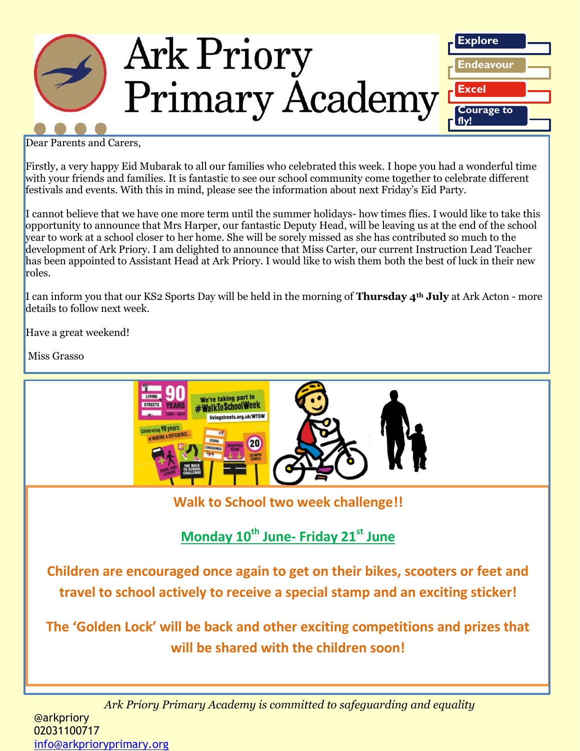

Dear Parents and Carers,

Firstly, a very happy Eid Mubarak to all our families who celebrated this week. I hope you had a wonderful time with your friends and families. It is fantastic to see our school community come together to celebrate different festivals and events. With this in mind, please see the information about next Friday's Eid Party.

I cannot believe that we have one more term until the summer holidays- how times flies. I would like to take this opportunity to announce that Mrs Harper, our fantastic Deputy Head, will be leaving us at the end of the school year to work at a school closer to her home. She will be sorely missed as she has contributed so much to the development of Ark Priory. I am delighted to announce that Miss Carter, our current Instruction Lead Teacher has been appointed to Assistant Head at Ark Priory. I would like to wish them both the best of luck in their new roles.

I can inform you that our KS2 Sports Day will be held in the morning of **Thursday 4th July** at Ark Acton - more details to follow next week.

Have a great weekend!

Miss Grasso



**Walk to School two week challenge!!**

### **Monday 10th June- Friday 21st June**

**Children are encouraged once again to get on their bikes, scooters or feet and travel to school actively to receive a special stamp and an exciting sticker!**

**The 'Golden Lock' will be back and other exciting competitions and prizes that will be shared with the children soon!** 

*Ark Priory Primary Academy is committed to safeguarding and equality*  @arkpriory 02031100717 [info@arkprioryprimary.org](mailto:info@arkprioryprimary.org)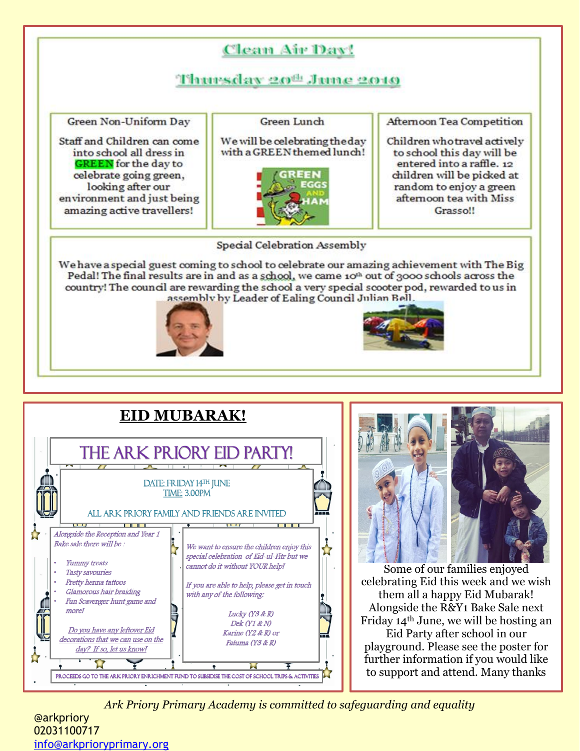### Clean Air Day! Thursday 20<sup>th</sup> June 2010 Green Non-Uniform Day Green Lunch Afternoon Tea Competition Staff and Children can come We will be celebrating the day Children who travel actively with a GREEN themed lunch! into school all dress in to school this day will be **GREEN** for the day to entered into a raffle, 12 celebrate going green, children will be picked at GREEN looking after our random to enjoy a green environment and just being afternoon tea with Miss amazing active travellers! Grasso!! Special Celebration Assembly We have a special guest coming to school to celebrate our amazing achievement with The Big Pedal! The final results are in and as a school, we came 10th out of 3000 schools across the country! The council are rewarding the school a very special scooter pod, rewarded to us in assembly by Leader of Ealing Council Julian Bell.

| <b>EID MUBARAK!</b>                                                                                                                                                                                                                                                                                                                                                                                                                                                                                                                                                                                                                                                                                                                                                                                                                   |                                                                                                                                                                                                                                                                                                                                                 |
|---------------------------------------------------------------------------------------------------------------------------------------------------------------------------------------------------------------------------------------------------------------------------------------------------------------------------------------------------------------------------------------------------------------------------------------------------------------------------------------------------------------------------------------------------------------------------------------------------------------------------------------------------------------------------------------------------------------------------------------------------------------------------------------------------------------------------------------|-------------------------------------------------------------------------------------------------------------------------------------------------------------------------------------------------------------------------------------------------------------------------------------------------------------------------------------------------|
| THE ARK PRIORY EID PARTY!<br>DATE: FRIDAY 14TH JUNE<br><b>TIME: 3.00PM</b><br>ALL ARK PRIORY FAMILY AND FRIENDS ARE INVITED<br>$\bm{\pi}$<br>Alongside the Reception and Year 1<br>Bake sale there will be:<br>We want to ensure the children enjoy this<br>special celebration of Eid-ul-Fitr but we<br>Yummy treats<br>cannot do it without YOUR helpI<br>Tasty savouries<br>Pretty henna tattoos<br>If you are able to help, please get in touch<br>Glamorous hair braiding<br>with any of the following:<br>Fun Scavenger hunt game and<br>morel<br>Lucky (Y3 & R)<br>Dek (Y1 & N)<br>Do you have any leftover Eid<br>Karine (Y2 & R) or<br>decorations that we can use on the<br>Fatuma (Y3 & R)<br>day? If so, let us knowl<br>PROCEEDS GO TO THE ARK PRIORY ENRICHMENT FUND TO SUBSIDISE THE COST OF SCHOOL TRIPS & ACTIVITIES | Some of our families enjoyed<br>celebrating Eid this week and we wish<br>them all a happy Eid Mubarak!<br>Alongside the R&Y1 Bake Sale next<br>Friday 14th June, we will be hosting an<br>Eid Party after school in our<br>playground. Please see the poster for<br>further information if you would like<br>to support and attend. Many thanks |

*Ark Priory Primary Academy is committed to safeguarding and equality* 

02031100717 [info@arkprioryprimary.org](mailto:info@arkprioryprimary.org) 

@arkpriory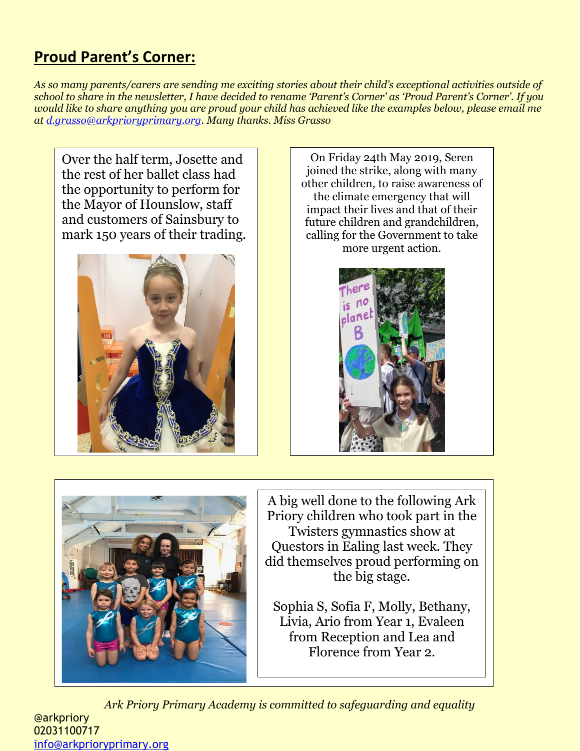# **Proud Parent's Corner:**

*As so many parents/carers are sending me exciting stories about their child's exceptional activities outside of school to share in the newsletter, I have decided to rename 'Parent's Corner' as 'Proud Parent's Corner'. If you would like to share anything you are proud your child has achieved like the examples below, please email me at [d.grasso@arkprioryprimary.org.](mailto:d.grasso@arkprioryprimary.org) Many thanks. Miss Grasso*

Over the half term, Josette and the rest of her ballet class had the opportunity to perform for the Mayor of Hounslow, staff and customers of Sainsbury to mark 150 years of their trading.



On Friday 24th May 2019, Seren joined the strike, along with many other children, to raise awareness of the climate emergency that will impact their lives and that of their future children and grandchildren, calling for the Government to take more urgent action.





A big well done to the following Ark Priory children who took part in the Twisters gymnastics show at Questors in Ealing last week. They did themselves proud performing on the big stage.

Sophia S, Sofia F, Molly, Bethany, Livia, Ario from Year 1, Evaleen from Reception and Lea and Florence from Year 2.

*Ark Priory Primary Academy is committed to safeguarding and equality*  @arkpriory 02031100717 [info@arkprioryprimary.org](mailto:info@arkprioryprimary.org)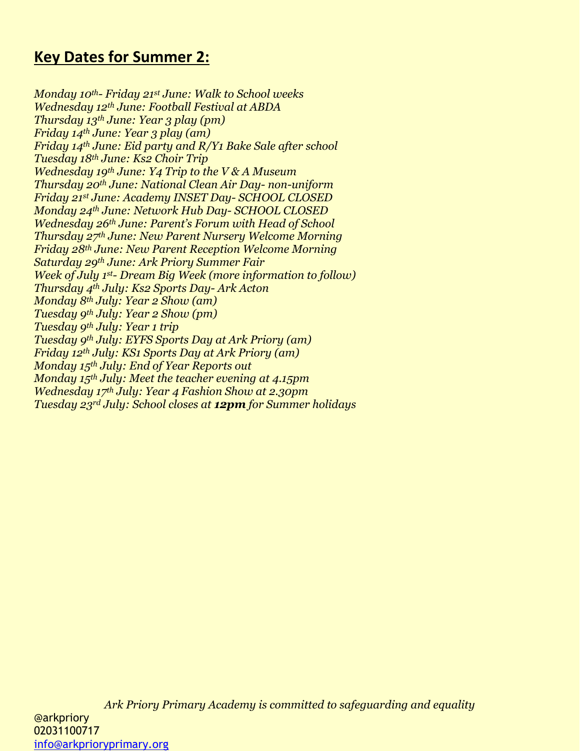# **Key Dates for Summer 2:**

*Monday 10th- Friday 21st June: Walk to School weeks Wednesday 12th June: Football Festival at ABDA Thursday 13th June: Year 3 play (pm) Friday 14th June: Year 3 play (am) Friday 14th June: Eid party and R/Y1 Bake Sale after school Tuesday 18th June: Ks2 Choir Trip Wednesday 19th June: Y4 Trip to the V & A Museum Thursday 20th June: National Clean Air Day- non-uniform Friday 21st June: Academy INSET Day- SCHOOL CLOSED Monday 24th June: Network Hub Day- SCHOOL CLOSED Wednesday 26th June: Parent's Forum with Head of School Thursday 27th June: New Parent Nursery Welcome Morning Friday 28th June: New Parent Reception Welcome Morning Saturday 29th June: Ark Priory Summer Fair Week of July 1st- Dream Big Week (more information to follow) Thursday 4th July: Ks2 Sports Day- Ark Acton Monday 8th July: Year 2 Show (am) Tuesday 9th July: Year 2 Show (pm) Tuesday 9th July: Year 1 trip Tuesday 9th July: EYFS Sports Day at Ark Priory (am) Friday 12th July: KS1 Sports Day at Ark Priory (am) Monday 15th July: End of Year Reports out Monday 15th July: Meet the teacher evening at 4.15pm Wednesday 17th July: Year 4 Fashion Show at 2.30pm Tuesday 23rd July: School closes at 12pm for Summer holidays*